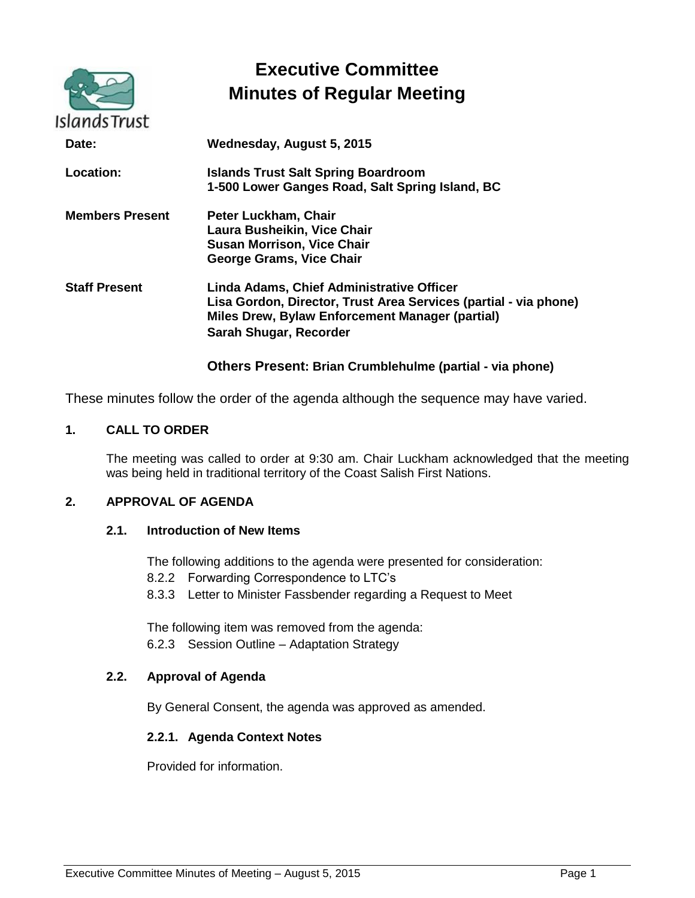| Islands Trust          | <b>Executive Committee</b><br><b>Minutes of Regular Meeting</b>                                                                                                                            |
|------------------------|--------------------------------------------------------------------------------------------------------------------------------------------------------------------------------------------|
| Date:                  | Wednesday, August 5, 2015                                                                                                                                                                  |
| <b>Location:</b>       | <b>Islands Trust Salt Spring Boardroom</b><br>1-500 Lower Ganges Road, Salt Spring Island, BC                                                                                              |
| <b>Members Present</b> | Peter Luckham, Chair<br>Laura Busheikin, Vice Chair<br><b>Susan Morrison, Vice Chair</b><br><b>George Grams, Vice Chair</b>                                                                |
| <b>Staff Present</b>   | Linda Adams, Chief Administrative Officer<br>Lisa Gordon, Director, Trust Area Services (partial - via phone)<br>Miles Drew, Bylaw Enforcement Manager (partial)<br>Sarah Shugar, Recorder |

# **Others Present: Brian Crumblehulme (partial - via phone)**

These minutes follow the order of the agenda although the sequence may have varied.

# **1. CALL TO ORDER**

The meeting was called to order at 9:30 am. Chair Luckham acknowledged that the meeting was being held in traditional territory of the Coast Salish First Nations.

# **2. APPROVAL OF AGENDA**

### **2.1. Introduction of New Items**

The following additions to the agenda were presented for consideration:

- 8.2.2 Forwarding Correspondence to LTC's
- 8.3.3 Letter to Minister Fassbender regarding a Request to Meet

The following item was removed from the agenda: 6.2.3 Session Outline – Adaptation Strategy

## **2.2. Approval of Agenda**

By General Consent, the agenda was approved as amended.

# **2.2.1. Agenda Context Notes**

Provided for information.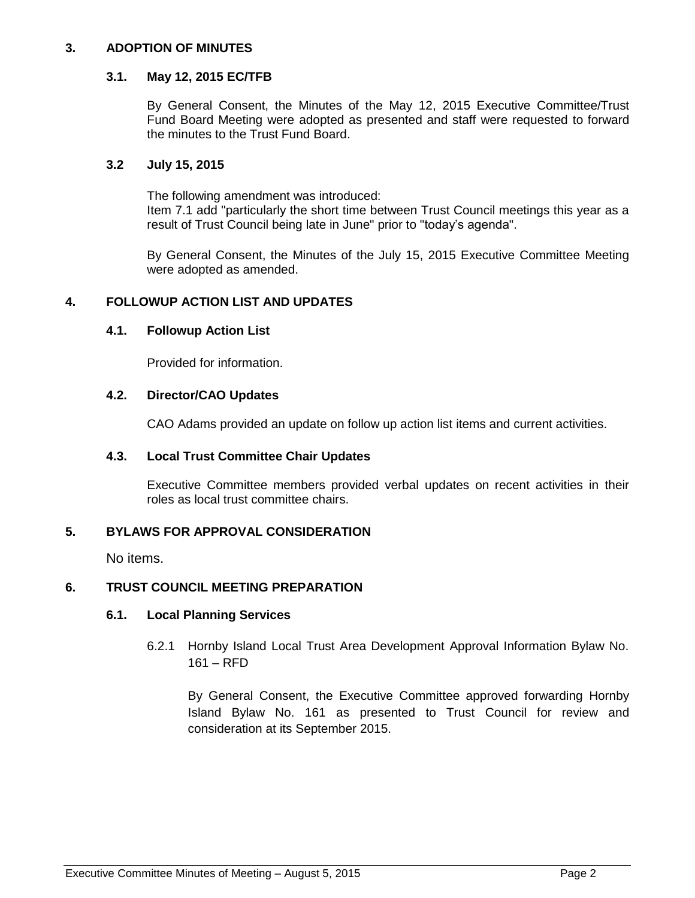# **3. ADOPTION OF MINUTES**

### **3.1. May 12, 2015 EC/TFB**

By General Consent, the Minutes of the May 12, 2015 Executive Committee/Trust Fund Board Meeting were adopted as presented and staff were requested to forward the minutes to the Trust Fund Board.

# **3.2 July 15, 2015**

The following amendment was introduced: Item 7.1 add "particularly the short time between Trust Council meetings this year as a result of Trust Council being late in June" prior to "today's agenda".

By General Consent, the Minutes of the July 15, 2015 Executive Committee Meeting were adopted as amended.

# **4. FOLLOWUP ACTION LIST AND UPDATES**

### **4.1. Followup Action List**

Provided for information.

# **4.2. Director/CAO Updates**

CAO Adams provided an update on follow up action list items and current activities.

#### **4.3. Local Trust Committee Chair Updates**

Executive Committee members provided verbal updates on recent activities in their roles as local trust committee chairs.

# **5. BYLAWS FOR APPROVAL CONSIDERATION**

No items.

# **6. TRUST COUNCIL MEETING PREPARATION**

#### **6.1. Local Planning Services**

6.2.1 Hornby Island Local Trust Area Development Approval Information Bylaw No. 161 – RFD

By General Consent, the Executive Committee approved forwarding Hornby Island Bylaw No. 161 as presented to Trust Council for review and consideration at its September 2015.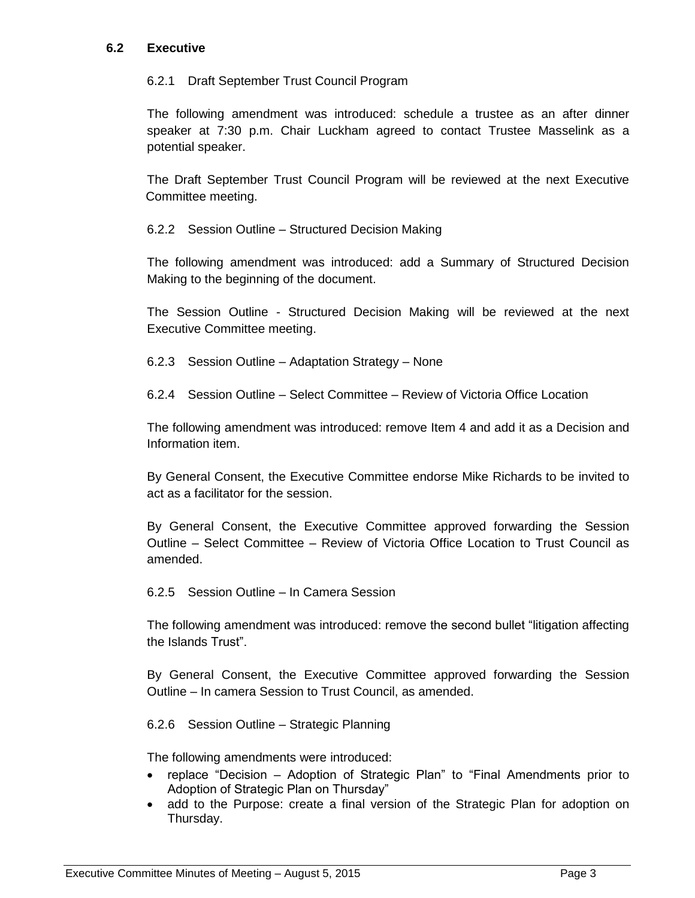# **6.2 Executive**

## 6.2.1 Draft September Trust Council Program

The following amendment was introduced: schedule a trustee as an after dinner speaker at 7:30 p.m. Chair Luckham agreed to contact Trustee Masselink as a potential speaker.

The Draft September Trust Council Program will be reviewed at the next Executive Committee meeting.

6.2.2 Session Outline – Structured Decision Making

The following amendment was introduced: add a Summary of Structured Decision Making to the beginning of the document.

The Session Outline - Structured Decision Making will be reviewed at the next Executive Committee meeting.

6.2.3 Session Outline – Adaptation Strategy – None

6.2.4 Session Outline – Select Committee – Review of Victoria Office Location

The following amendment was introduced: remove Item 4 and add it as a Decision and Information item.

By General Consent, the Executive Committee endorse Mike Richards to be invited to act as a facilitator for the session.

By General Consent, the Executive Committee approved forwarding the Session Outline – Select Committee – Review of Victoria Office Location to Trust Council as amended.

6.2.5 Session Outline – In Camera Session

The following amendment was introduced: remove the second bullet "litigation affecting the Islands Trust".

By General Consent, the Executive Committee approved forwarding the Session Outline – In camera Session to Trust Council, as amended.

6.2.6 Session Outline – Strategic Planning

The following amendments were introduced:

- replace "Decision Adoption of Strategic Plan" to "Final Amendments prior to Adoption of Strategic Plan on Thursday"
- add to the Purpose: create a final version of the Strategic Plan for adoption on Thursday.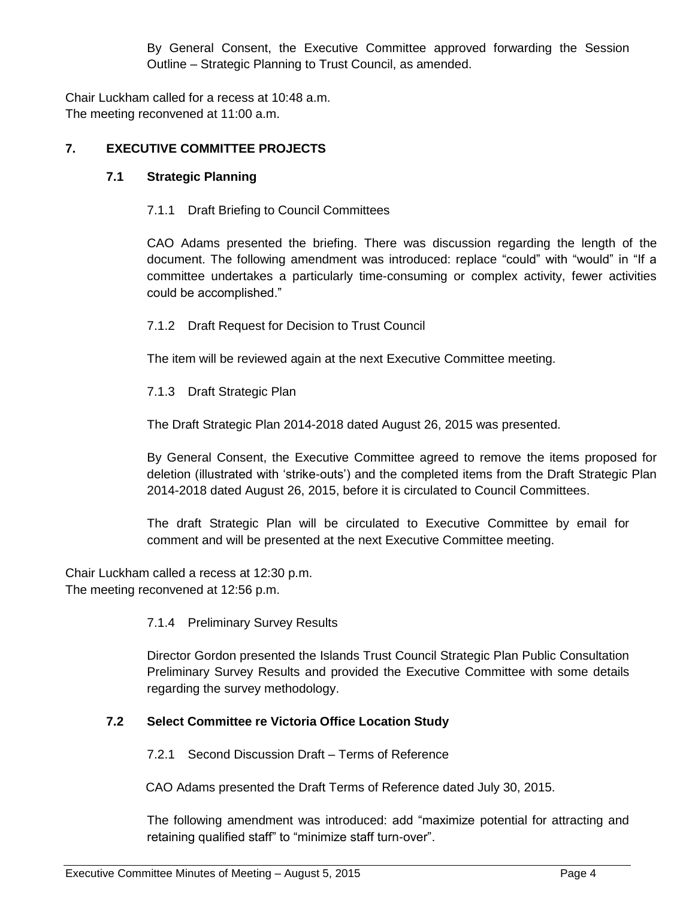By General Consent, the Executive Committee approved forwarding the Session Outline – Strategic Planning to Trust Council, as amended.

Chair Luckham called for a recess at 10:48 a.m. The meeting reconvened at 11:00 a.m.

# **7. EXECUTIVE COMMITTEE PROJECTS**

# **7.1 Strategic Planning**

7.1.1 Draft Briefing to Council Committees

CAO Adams presented the briefing. There was discussion regarding the length of the document. The following amendment was introduced: replace "could" with "would" in "If a committee undertakes a particularly time-consuming or complex activity, fewer activities could be accomplished."

7.1.2 Draft Request for Decision to Trust Council

The item will be reviewed again at the next Executive Committee meeting.

7.1.3 Draft Strategic Plan

The Draft Strategic Plan 2014-2018 dated August 26, 2015 was presented.

By General Consent, the Executive Committee agreed to remove the items proposed for deletion (illustrated with 'strike-outs') and the completed items from the Draft Strategic Plan 2014-2018 dated August 26, 2015, before it is circulated to Council Committees.

The draft Strategic Plan will be circulated to Executive Committee by email for comment and will be presented at the next Executive Committee meeting.

Chair Luckham called a recess at 12:30 p.m. The meeting reconvened at 12:56 p.m.

# 7.1.4 Preliminary Survey Results

Director Gordon presented the Islands Trust Council Strategic Plan Public Consultation Preliminary Survey Results and provided the Executive Committee with some details regarding the survey methodology.

# **7.2 Select Committee re Victoria Office Location Study**

7.2.1 Second Discussion Draft – Terms of Reference

CAO Adams presented the Draft Terms of Reference dated July 30, 2015.

The following amendment was introduced: add "maximize potential for attracting and retaining qualified staff" to "minimize staff turn-over".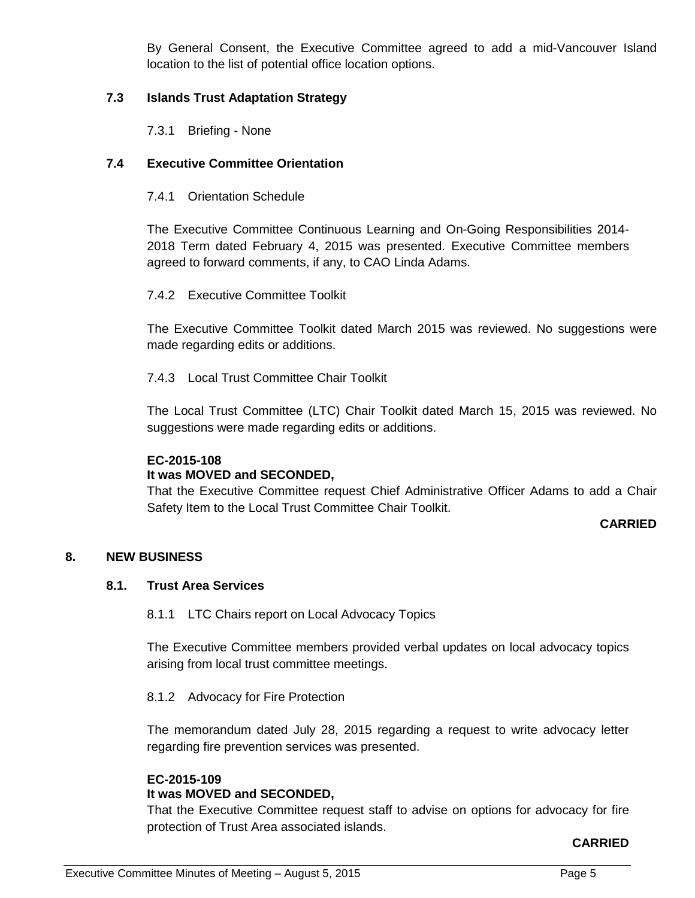By General Consent, the Executive Committee agreed to add a mid-Vancouver Island location to the list of potential office location options.

# **7.3 Islands Trust Adaptation Strategy**

7.3.1 Briefing - None

# **7.4 Executive Committee Orientation**

7.4.1 Orientation Schedule

The Executive Committee Continuous Learning and On-Going Responsibilities 2014- 2018 Term dated February 4, 2015 was presented. Executive Committee members agreed to forward comments, if any, to CAO Linda Adams.

7.4.2 Executive Committee Toolkit

The Executive Committee Toolkit dated March 2015 was reviewed. No suggestions were made regarding edits or additions.

7.4.3 Local Trust Committee Chair Toolkit

The Local Trust Committee (LTC) Chair Toolkit dated March 15, 2015 was reviewed. No suggestions were made regarding edits or additions.

# **EC-2015-108**

# **It was MOVED and SECONDED,**

That the Executive Committee request Chief Administrative Officer Adams to add a Chair Safety Item to the Local Trust Committee Chair Toolkit.

# **CARRIED**

# **8. NEW BUSINESS**

# **8.1. Trust Area Services**

8.1.1 LTC Chairs report on Local Advocacy Topics

The Executive Committee members provided verbal updates on local advocacy topics arising from local trust committee meetings.

#### 8.1.2 Advocacy for Fire Protection

The memorandum dated July 28, 2015 regarding a request to write advocacy letter regarding fire prevention services was presented.

#### **EC-2015-109 It was MOVED and SECONDED,**

That the Executive Committee request staff to advise on options for advocacy for fire protection of Trust Area associated islands.

# **CARRIED**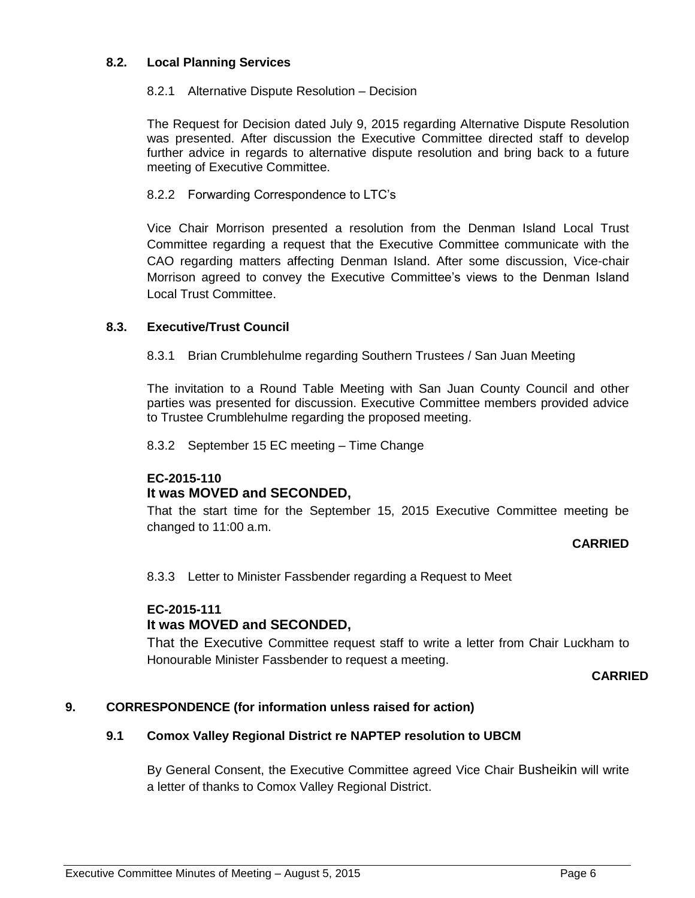# **8.2. Local Planning Services**

# 8.2.1 Alternative Dispute Resolution – Decision

The Request for Decision dated July 9, 2015 regarding Alternative Dispute Resolution was presented. After discussion the Executive Committee directed staff to develop further advice in regards to alternative dispute resolution and bring back to a future meeting of Executive Committee.

# 8.2.2 Forwarding Correspondence to LTC's

Vice Chair Morrison presented a resolution from the Denman Island Local Trust Committee regarding a request that the Executive Committee communicate with the CAO regarding matters affecting Denman Island. After some discussion, Vice-chair Morrison agreed to convey the Executive Committee's views to the Denman Island Local Trust Committee.

# **8.3. Executive/Trust Council**

8.3.1 Brian Crumblehulme regarding Southern Trustees / San Juan Meeting

The invitation to a Round Table Meeting with San Juan County Council and other parties was presented for discussion. Executive Committee members provided advice to Trustee Crumblehulme regarding the proposed meeting.

8.3.2 September 15 EC meeting – Time Change

# **EC-2015-110**

# **It was MOVED and SECONDED,**

That the start time for the September 15, 2015 Executive Committee meeting be changed to 11:00 a.m.

# **CARRIED**

8.3.3 Letter to Minister Fassbender regarding a Request to Meet

# **EC-2015-111 It was MOVED and SECONDED,**

That the Executive Committee request staff to write a letter from Chair Luckham to Honourable Minister Fassbender to request a meeting.

# **CARRIED**

# **9. CORRESPONDENCE (for information unless raised for action)**

# **9.1 Comox Valley Regional District re NAPTEP resolution to UBCM**

By General Consent, the Executive Committee agreed Vice Chair Busheikin will write a letter of thanks to Comox Valley Regional District.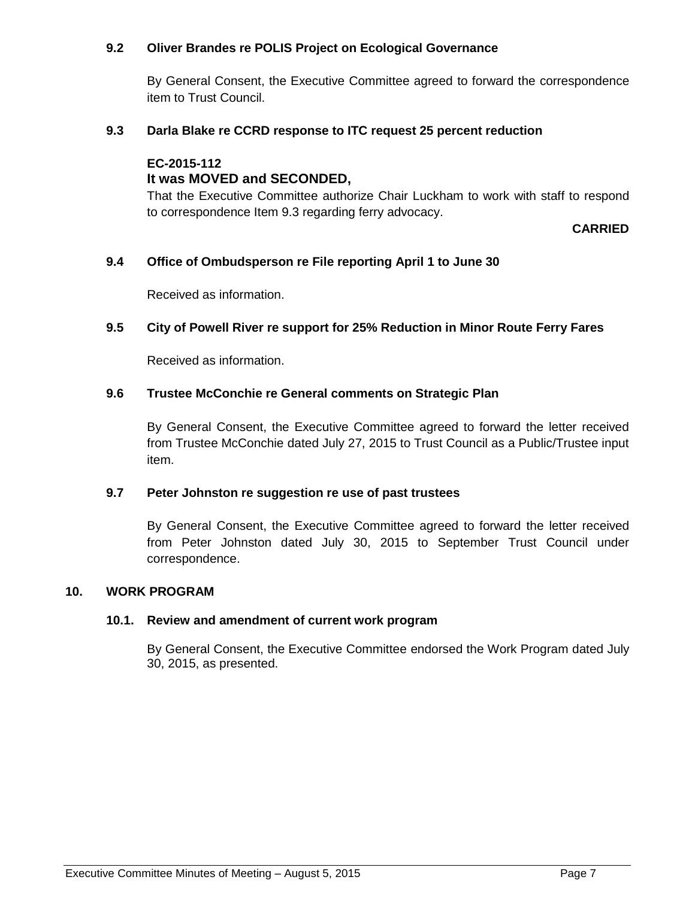# **9.2 Oliver Brandes re POLIS Project on Ecological Governance**

By General Consent, the Executive Committee agreed to forward the correspondence item to Trust Council.

# **9.3 Darla Blake re CCRD response to ITC request 25 percent reduction**

#### **EC-2015-112 It was MOVED and SECONDED,**

That the Executive Committee authorize Chair Luckham to work with staff to respond to correspondence Item 9.3 regarding ferry advocacy.

# **CARRIED**

# **9.4 Office of Ombudsperson re File reporting April 1 to June 30**

Received as information.

# **9.5 City of Powell River re support for 25% Reduction in Minor Route Ferry Fares**

Received as information.

# **9.6 Trustee McConchie re General comments on Strategic Plan**

By General Consent, the Executive Committee agreed to forward the letter received from Trustee McConchie dated July 27, 2015 to Trust Council as a Public/Trustee input item.

# **9.7 Peter Johnston re suggestion re use of past trustees**

By General Consent, the Executive Committee agreed to forward the letter received from Peter Johnston dated July 30, 2015 to September Trust Council under correspondence.

# **10. WORK PROGRAM**

# **10.1. Review and amendment of current work program**

By General Consent, the Executive Committee endorsed the Work Program dated July 30, 2015, as presented.